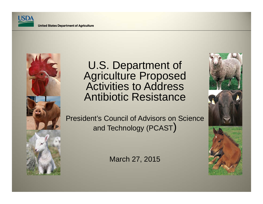



#### U.S. Department of Agriculture Proposed Activities to Address Antibiotic Resistance

President's Council of Advisors on Science and Technology (PCAST $\big)$ 

March 27, 2015

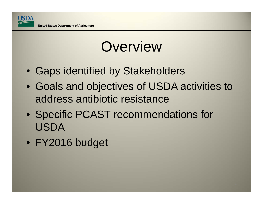

### **Overview**

- Gaps identified by Stakeholders
- Goals and objectives of USDA activities to address antibiotic resistance
- Specific PCAST recommendations for USDA
- FY2016 budget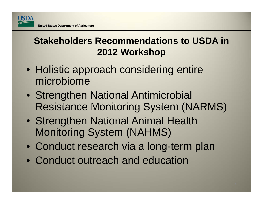

#### **Stakeholders Recommendations to USDA in 2012 Workshop**

- Holistic approach considering entire microbiome
- Strengthen National Antimicrobial Resistance Monitoring System (NARMS)
- Strengthen National Animal Health Monitoring System (NAHMS)
- Conduct research via a long-term plan
- Conduct outreach and education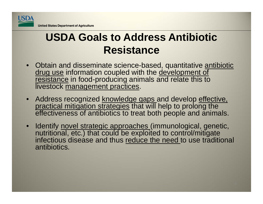

#### **USDA Goals to Address Antibiotic Resistance**

- •Obtain and disseminate science-based, quantitative antibiotic drug use information coupled with the development of resistance in food-producing animals and relate this to livestock management practices.
- Address recognized <u>knowledge gaps a</u>nd develop <u>effective,</u> practical mitigation strategies that will help to prolong the effectiveness of antibiotics to treat both people and animals.
- •Identify novel strategic approaches (immunological, genetic, nutritional, etc.) that could be exploited to control/mitigate infectious disease and thus reduce the need to use traditional antibiotics.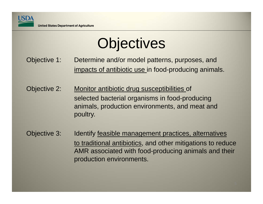

# **Objectives**

- Objective 1: Determine and/or model patterns, purposes, and impacts of antibiotic use in food-producing animals.
- Objective 2: Monitor antibiotic drug susceptibilities of selected bacterial organisms in food-producing animals, production environments, and meat and poultry.
- Objective 3: Identify feasible management practices, alternatives to traditional antibiotics, and other mitigations to reduce AMR associated with food-producing animals and their production environments.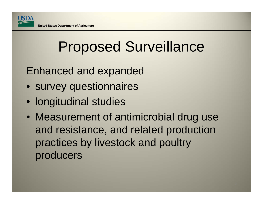

# Proposed Surveillance

Enhanced and expanded

- survey questionnaires
- longitudinal studies
- Measurement of antimicrobial drug use and resistance, and related production practices by livestock and poultry producers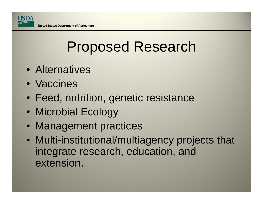

# Proposed Research

- Alternatives
- Vaccines
- Feed, nutrition, genetic resistance
- Microbial Ecology
- Management practices
- Multi-institutional/multiagency projects that integrate research, education, and extension.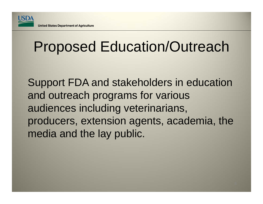

# Proposed Education/Outreach

Support FDA and stakeholders in education and outreach programs for various audiences including veterinarians, producers, extension agents, academia, the media and the lay public.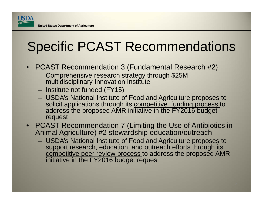### Specific PCAST Recommendations

- $\bullet$  PCAST Recommendation 3 (Fundamental Research #2)
	- Comprehensive research strategy through \$25M multidisciplinary Innovation Institute
	- Institute not funded (FY15)
	- USDA's **National Institute of Food and Agriculture proposes to** solicit applications through its <u>competitive funding process t</u>o address the proposed AMR initiative in the FY2016 budget request
- PCAST Recommendation 7 (Limiting the Use of Antibiotics in Animal Agriculture) #2 stewardship education/outreach
	- USDA's National Institute of Food and Agriculture proposes to support research, education, and outreach efforts through its competitive peer review process to address the proposed AMR initiative in the FY2016 budget request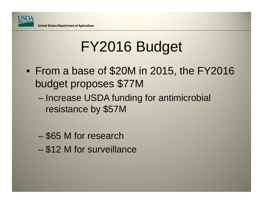

# FY2016 Budget

- $\bullet$  From a base of \$20M in 2015, the FY2016 budget proposes \$77M
	- – Increase USDA funding for antimicrobial resistance by \$57M
	- \$65 M for research
	- \$12 M for surveillance